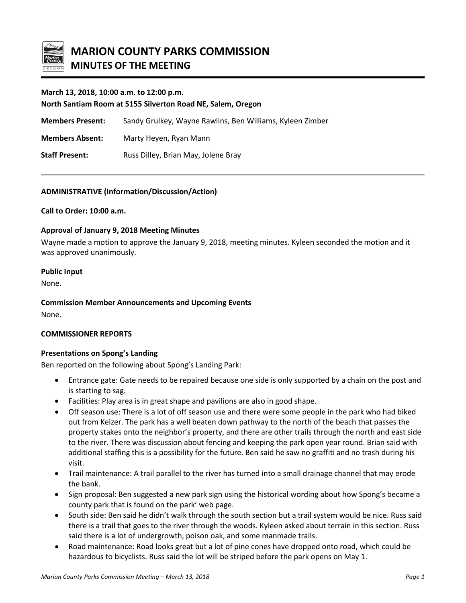

## **March 13, 2018, 10:00 a.m. to 12:00 p.m.**

**North Santiam Room at 5155 Silverton Road NE, Salem, Oregon**

**Members Present:** Sandy Grulkey, Wayne Rawlins, Ben Williams, Kyleen Zimber

**Members Absent:** Marty Heyen, Ryan Mann

**Staff Present:** Russ Dilley, Brian May, Jolene Bray

#### **ADMINISTRATIVE (Information/Discussion/Action)**

**Call to Order: 10:00 a.m.**

#### **Approval of January 9, 2018 Meeting Minutes**

Wayne made a motion to approve the January 9, 2018, meeting minutes. Kyleen seconded the motion and it was approved unanimously.

#### **Public Input**

None.

**Commission Member Announcements and Upcoming Events**

None.

#### **COMMISSIONER REPORTS**

#### **Presentations on Spong's Landing**

Ben reported on the following about Spong's Landing Park:

- Entrance gate: Gate needs to be repaired because one side is only supported by a chain on the post and is starting to sag.
- Facilities: Play area is in great shape and pavilions are also in good shape.
- Off season use: There is a lot of off season use and there were some people in the park who had biked out from Keizer. The park has a well beaten down pathway to the north of the beach that passes the property stakes onto the neighbor's property, and there are other trails through the north and east side to the river. There was discussion about fencing and keeping the park open year round. Brian said with additional staffing this is a possibility for the future. Ben said he saw no graffiti and no trash during his visit.
- Trail maintenance: A trail parallel to the river has turned into a small drainage channel that may erode the bank.
- Sign proposal: Ben suggested a new park sign using the historical wording about how Spong's became a county park that is found on the park' web page.
- South side: Ben said he didn't walk through the south section but a trail system would be nice. Russ said there is a trail that goes to the river through the woods. Kyleen asked about terrain in this section. Russ said there is a lot of undergrowth, poison oak, and some manmade trails.
- Road maintenance: Road looks great but a lot of pine cones have dropped onto road, which could be hazardous to bicyclists. Russ said the lot will be striped before the park opens on May 1.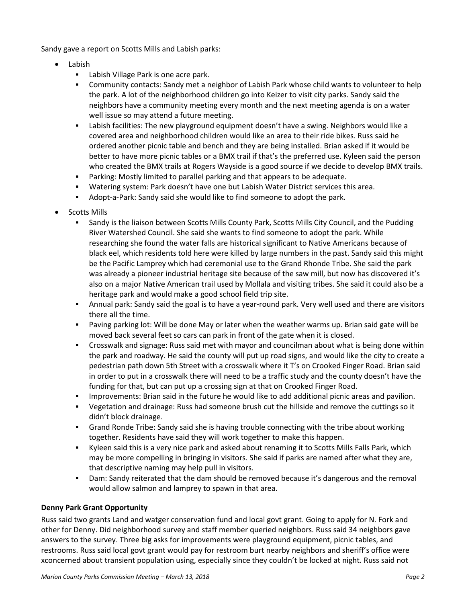Sandy gave a report on Scotts Mills and Labish parks:

- Labish
	- **Labish Village Park is one acre park.**
	- Community contacts: Sandy met a neighbor of Labish Park whose child wants to volunteer to help the park. A lot of the neighborhood children go into Keizer to visit city parks. Sandy said the neighbors have a community meeting every month and the next meeting agenda is on a water well issue so may attend a future meeting.
	- Labish facilities: The new playground equipment doesn't have a swing. Neighbors would like a covered area and neighborhood children would like an area to their ride bikes. Russ said he ordered another picnic table and bench and they are being installed. Brian asked if it would be better to have more picnic tables or a BMX trail if that's the preferred use. Kyleen said the person who created the BMX trails at Rogers Wayside is a good source if we decide to develop BMX trails.
	- Parking: Mostly limited to parallel parking and that appears to be adequate.
	- Watering system: Park doesn't have one but Labish Water District services this area.
	- Adopt-a-Park: Sandy said she would like to find someone to adopt the park.
- Scotts Mills
	- Sandy is the liaison between Scotts Mills County Park, Scotts Mills City Council, and the Pudding River Watershed Council. She said she wants to find someone to adopt the park. While researching she found the water falls are historical significant to Native Americans because of black eel, which residents told here were killed by large numbers in the past. Sandy said this might be the Pacific Lamprey which had ceremonial use to the Grand Rhonde Tribe. She said the park was already a pioneer industrial heritage site because of the saw mill, but now has discovered it's also on a major Native American trail used by Mollala and visiting tribes. She said it could also be a heritage park and would make a good school field trip site.
	- Annual park: Sandy said the goal is to have a year-round park. Very well used and there are visitors there all the time.
	- Paving parking lot: Will be done May or later when the weather warms up. Brian said gate will be moved back several feet so cars can park in front of the gate when it is closed.
	- Crosswalk and signage: Russ said met with mayor and councilman about what is being done within the park and roadway. He said the county will put up road signs, and would like the city to create a pedestrian path down 5th Street with a crosswalk where it T's on Crooked Finger Road. Brian said in order to put in a crosswalk there will need to be a traffic study and the county doesn't have the funding for that, but can put up a crossing sign at that on Crooked Finger Road.
	- Improvements: Brian said in the future he would like to add additional picnic areas and pavilion.
	- Vegetation and drainage: Russ had someone brush cut the hillside and remove the cuttings so it didn't block drainage.
	- Grand Ronde Tribe: Sandy said she is having trouble connecting with the tribe about working together. Residents have said they will work together to make this happen.
	- Kyleen said this is a very nice park and asked about renaming it to Scotts Mills Falls Park, which may be more compelling in bringing in visitors. She said if parks are named after what they are, that descriptive naming may help pull in visitors.
	- Dam: Sandy reiterated that the dam should be removed because it's dangerous and the removal would allow salmon and lamprey to spawn in that area.

# **Denny Park Grant Opportunity**

Russ said two grants Land and watger conservation fund and local govt grant. Going to apply for N. Fork and other for Denny. Did neighborhood survey and staff member queried neighbors. Russ said 34 neighbors gave answers to the survey. Three big asks for improvements were playground equipment, picnic tables, and restrooms. Russ said local govt grant would pay for restroom burt nearby neighbors and sheriff's office were xconcerned about transient population using, especially since they couldn't be locked at night. Russ said not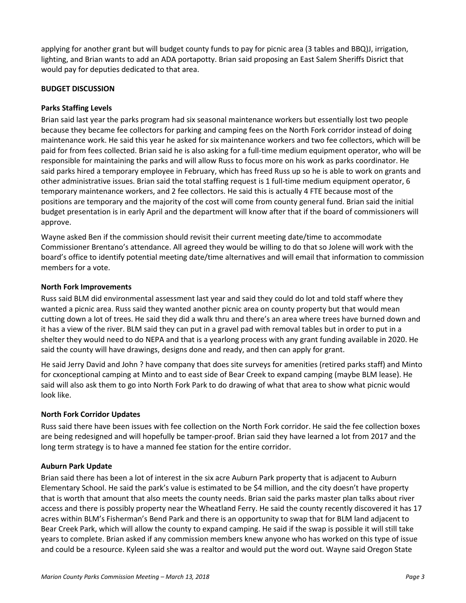applying for another grant but will budget county funds to pay for picnic area (3 tables and BBQ)J, irrigation, lighting, and Brian wants to add an ADA portapotty. Brian said proposing an East Salem Sheriffs Disrict that would pay for deputies dedicated to that area.

# **BUDGET DISCUSSION**

# **Parks Staffing Levels**

Brian said last year the parks program had six seasonal maintenance workers but essentially lost two people because they became fee collectors for parking and camping fees on the North Fork corridor instead of doing maintenance work. He said this year he asked for six maintenance workers and two fee collectors, which will be paid for from fees collected. Brian said he is also asking for a full-time medium equipment operator, who will be responsible for maintaining the parks and will allow Russ to focus more on his work as parks coordinator. He said parks hired a temporary employee in February, which has freed Russ up so he is able to work on grants and other administrative issues. Brian said the total staffing request is 1 full-time medium equipment operator, 6 temporary maintenance workers, and 2 fee collectors. He said this is actually 4 FTE because most of the positions are temporary and the majority of the cost will come from county general fund. Brian said the initial budget presentation is in early April and the department will know after that if the board of commissioners will approve.

Wayne asked Ben if the commission should revisit their current meeting date/time to accommodate Commissioner Brentano's attendance. All agreed they would be willing to do that so Jolene will work with the board's office to identify potential meeting date/time alternatives and will email that information to commission members for a vote.

## **North Fork Improvements**

Russ said BLM did environmental assessment last year and said they could do lot and told staff where they wanted a picnic area. Russ said they wanted another picnic area on county property but that would mean cutting down a lot of trees. He said they did a walk thru and there's an area where trees have burned down and it has a view of the river. BLM said they can put in a gravel pad with removal tables but in order to put in a shelter they would need to do NEPA and that is a yearlong process with any grant funding available in 2020. He said the county will have drawings, designs done and ready, and then can apply for grant.

He said Jerry David and John ? have company that does site surveys for amenities (retired parks staff) and Minto for cxonceptional camping at Minto and to east side of Bear Creek to expand camping (maybe BLM lease). He said will also ask them to go into North Fork Park to do drawing of what that area to show what picnic would look like.

## **North Fork Corridor Updates**

Russ said there have been issues with fee collection on the North Fork corridor. He said the fee collection boxes are being redesigned and will hopefully be tamper-proof. Brian said they have learned a lot from 2017 and the long term strategy is to have a manned fee station for the entire corridor.

## **Auburn Park Update**

Brian said there has been a lot of interest in the six acre Auburn Park property that is adjacent to Auburn Elementary School. He said the park's value is estimated to be \$4 million, and the city doesn't have property that is worth that amount that also meets the county needs. Brian said the parks master plan talks about river access and there is possibly property near the Wheatland Ferry. He said the county recently discovered it has 17 acres within BLM's Fisherman's Bend Park and there is an opportunity to swap that for BLM land adjacent to Bear Creek Park, which will allow the county to expand camping. He said if the swap is possible it will still take years to complete. Brian asked if any commission members knew anyone who has worked on this type of issue and could be a resource. Kyleen said she was a realtor and would put the word out. Wayne said Oregon State